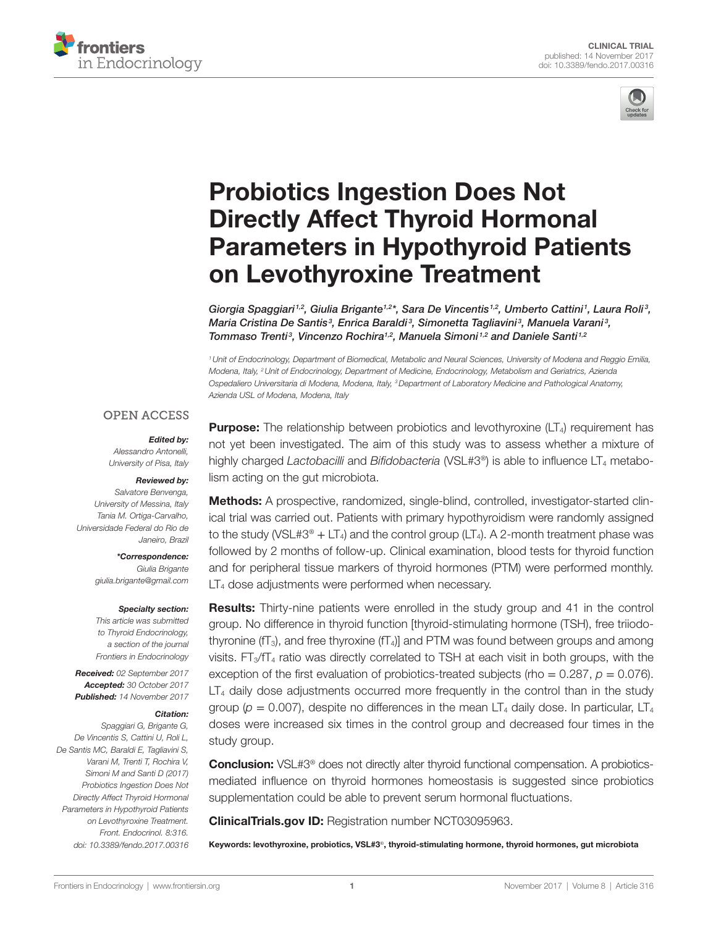



# [Probiotics Ingestion Does Not](http://www.frontiersin.org/Journal/10.3389/fendo.2017.00316/full)  [Directly Affect Thyroid Hormonal](http://www.frontiersin.org/Journal/10.3389/fendo.2017.00316/full)  [Parameters in Hypothyroid Patients](http://www.frontiersin.org/Journal/10.3389/fendo.2017.00316/full)  [on Levothyroxine Treatment](http://www.frontiersin.org/Journal/10.3389/fendo.2017.00316/full)

Giorgia Spaggiari<sup>1,2</sup>, Giulia Brigante<sup>1,2</sup>\*, Sara De Vincentis<sup>1,2</sup>, Umberto Cattini<sup>1</sup>, Laura Roli<sup>3</sup>, *Maria Cristina De Santis3 , Enrica Baraldi <sup>3</sup> , Simonetta Tagliavini <sup>3</sup> , Manuela Varani <sup>3</sup> , Tommaso Trenti<sup>3</sup>, Vincenzo Rochira<sup>1,2</sup>, [Manuela Simoni](http://loop.frontiersin.org/people/58562)<sup>1,2</sup> and [Daniele Santi](http://loop.frontiersin.org/people/417616)<sup>1,2</sup>* 

*1Unit of Endocrinology, Department of Biomedical, Metabolic and Neural Sciences, University of Modena and Reggio Emilia, Modena, Italy, 2Unit of Endocrinology, Department of Medicine, Endocrinology, Metabolism and Geriatrics, Azienda Ospedaliero Universitaria di Modena, Modena, Italy, 3Department of Laboratory Medicine and Pathological Anatomy, Azienda USL of Modena, Modena, Italy*

#### **OPEN ACCESS**

#### *Edited by:*

*Alessandro Antonelli, University of Pisa, Italy*

#### *Reviewed by:*

*Salvatore Benvenga, University of Messina, Italy Tania M. Ortiga-Carvalho, Universidade Federal do Rio de Janeiro, Brazil*

> *\*Correspondence: Giulia Brigante [giulia.brigante@gmail.com](mailto:giulia.brigante@gmail.com)*

#### *Specialty section:*

*This article was submitted to Thyroid Endocrinology, a section of the journal Frontiers in Endocrinology*

*Received: 02 September 2017 Accepted: 30 October 2017 Published: 14 November 2017*

#### *Citation:*

*Spaggiari G, Brigante G, De Vincentis S, Cattini U, Roli L, De Santis MC, Baraldi E, Tagliavini S, Varani M, Trenti T, Rochira V, Simoni M and Santi D (2017) Probiotics Ingestion Does Not Directly Affect Thyroid Hormonal Parameters in Hypothyroid Patients on Levothyroxine Treatment. Front. Endocrinol. 8:316. doi: [10.3389/fendo.2017.00316](https://doi.org/10.3389/fendo.2017.00316)*

**Purpose:** The relationship between probiotics and levothyroxine  $(LT<sub>4</sub>)$  requirement has not yet been investigated. The aim of this study was to assess whether a mixture of highly charged *Lactobacilli* and *Bifidobacteria* (VSL#3<sup>®</sup>) is able to influence LT<sub>4</sub> metabolism acting on the gut microbiota.

Methods: A prospective, randomized, single-blind, controlled, investigator-started clinical trial was carried out. Patients with primary hypothyroidism were randomly assigned to the study (VSL#3<sup>®</sup> + LT<sub>4</sub>) and the control group (LT<sub>4</sub>). A 2-month treatment phase was followed by 2 months of follow-up. Clinical examination, blood tests for thyroid function and for peripheral tissue markers of thyroid hormones (PTM) were performed monthly. LT<sub>4</sub> dose adjustments were performed when necessary.

Results: Thirty-nine patients were enrolled in the study group and 41 in the control group. No difference in thyroid function [thyroid-stimulating hormone (TSH), free triiodothyronine ( $fT_3$ ), and free thyroxine ( $fT_4$ )] and PTM was found between groups and among visits.  $FT<sub>3</sub>/TT<sub>4</sub>$  ratio was directly correlated to TSH at each visit in both groups, with the exception of the first evaluation of probiotics-treated subjects (rho =  $0.287$ ,  $p = 0.076$ ).  $LT<sub>4</sub>$  daily dose adjustments occurred more frequently in the control than in the study group ( $p = 0.007$ ), despite no differences in the mean LT<sub>4</sub> daily dose. In particular, LT<sub>4</sub> doses were increased six times in the control group and decreased four times in the study group.

**Conclusion:** VSL#3<sup>®</sup> does not directly alter thyroid functional compensation. A probioticsmediated influence on thyroid hormones homeostasis is suggested since probiotics supplementation could be able to prevent serum hormonal fluctuations.

[ClinicalTrials.gov](http://ClinicalTrials.gov) ID: Registration number NCT03095963.

Keywords: levothyroxine, probiotics, VSL#3®, thyroid-stimulating hormone, thyroid hormones, gut microbiota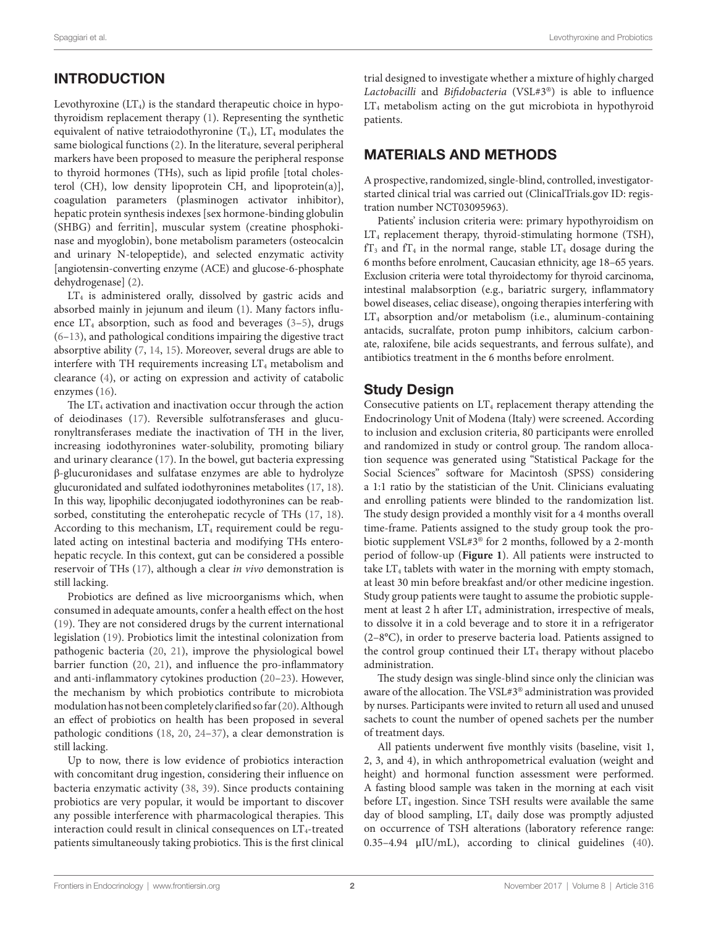# INTRODUCTION

Levothyroxine  $(LT<sub>4</sub>)$  is the standard therapeutic choice in hypothyroidism replacement therapy [\(1\)](#page-7-0). Representing the synthetic equivalent of native tetraiodothyronine  $(T_4)$ ,  $LT_4$  modulates the same biological functions ([2](#page-7-1)). In the literature, several peripheral markers have been proposed to measure the peripheral response to thyroid hormones (THs), such as lipid profile [total cholesterol (CH), low density lipoprotein CH, and lipoprotein(a)], coagulation parameters (plasminogen activator inhibitor), hepatic protein synthesis indexes [sex hormone-binding globulin (SHBG) and ferritin], muscular system (creatine phosphokinase and myoglobin), bone metabolism parameters (osteocalcin and urinary N-telopeptide), and selected enzymatic activity [angiotensin-converting enzyme (ACE) and glucose-6-phosphate dehydrogenase] ([2](#page-7-1)).

LT<sub>4</sub> is administered orally, dissolved by gastric acids and absorbed mainly in jejunum and ileum [\(1\)](#page-7-0). Many factors influence  $LT_4$  absorption, such as food and beverages [\(3](#page-7-2)-[5\)](#page-7-3), drugs ([6](#page-7-4)[–13](#page-7-5)), and pathological conditions impairing the digestive tract absorptive ability [\(7](#page-7-6), [14,](#page-7-7) [15](#page-7-8)). Moreover, several drugs are able to interfere with TH requirements increasing  $LT_4$  metabolism and clearance [\(4\)](#page-7-9), or acting on expression and activity of catabolic enzymes ([16\)](#page-7-10).

The  $LT_4$  activation and inactivation occur through the action of deiodinases ([17\)](#page-7-11). Reversible sulfotransferases and glucuronyltransferases mediate the inactivation of TH in the liver, increasing iodothyronines water-solubility, promoting biliary and urinary clearance ([17\)](#page-7-11). In the bowel, gut bacteria expressing β-glucuronidases and sulfatase enzymes are able to hydrolyze glucuronidated and sulfated iodothyronines metabolites [\(17](#page-7-11), [18\)](#page-7-12). In this way, lipophilic deconjugated iodothyronines can be reabsorbed, constituting the enterohepatic recycle of THs ([17](#page-7-11), [18\)](#page-7-12). According to this mechanism,  $LT_4$  requirement could be regulated acting on intestinal bacteria and modifying THs enterohepatic recycle. In this context, gut can be considered a possible reservoir of THs ([17\)](#page-7-11), although a clear *in vivo* demonstration is still lacking.

Probiotics are defined as live microorganisms which, when consumed in adequate amounts, confer a health effect on the host ([19\)](#page-7-13). They are not considered drugs by the current international legislation ([19](#page-7-13)). Probiotics limit the intestinal colonization from pathogenic bacteria ([20,](#page-7-14) [21\)](#page-7-15), improve the physiological bowel barrier function ([20,](#page-7-14) [21\)](#page-7-15), and influence the pro-inflammatory and anti-inflammatory cytokines production [\(20](#page-7-14)[–23](#page-7-16)). However, the mechanism by which probiotics contribute to microbiota modulation has not been completely clarified so far [\(20](#page-7-14)). Although an effect of probiotics on health has been proposed in several pathologic conditions [\(18](#page-7-12), [20,](#page-7-14) [24](#page-7-17)–[37](#page-7-18)), a clear demonstration is still lacking.

Up to now, there is low evidence of probiotics interaction with concomitant drug ingestion, considering their influence on bacteria enzymatic activity ([38,](#page-7-19) [39](#page-7-20)). Since products containing probiotics are very popular, it would be important to discover any possible interference with pharmacological therapies. This interaction could result in clinical consequences on  $LT_4$ -treated patients simultaneously taking probiotics. This is the first clinical trial designed to investigate whether a mixture of highly charged *Lactobacilli* and *Bifidobacteria* (VSL#3®) is able to influence LT<sub>4</sub> metabolism acting on the gut microbiota in hypothyroid patients.

## MATERIALS AND METHODS

A prospective, randomized, single-blind, controlled, investigatorstarted clinical trial was carried out [\(ClinicalTrials.gov](http://ClinicalTrials.gov) ID: registration number NCT03095963).

Patients' inclusion criteria were: primary hypothyroidism on LT<sub>4</sub> replacement therapy, thyroid-stimulating hormone (TSH),  $fT_3$  and  $fT_4$  in the normal range, stable  $LT_4$  dosage during the 6 months before enrolment, Caucasian ethnicity, age 18–65 years. Exclusion criteria were total thyroidectomy for thyroid carcinoma, intestinal malabsorption (e.g., bariatric surgery, inflammatory bowel diseases, celiac disease), ongoing therapies interfering with LT4 absorption and/or metabolism (i.e., aluminum-containing antacids, sucralfate, proton pump inhibitors, calcium carbonate, raloxifene, bile acids sequestrants, and ferrous sulfate), and antibiotics treatment in the 6 months before enrolment.

## Study Design

Consecutive patients on  $LT_4$  replacement therapy attending the Endocrinology Unit of Modena (Italy) were screened. According to inclusion and exclusion criteria, 80 participants were enrolled and randomized in study or control group. The random allocation sequence was generated using "Statistical Package for the Social Sciences" software for Macintosh (SPSS) considering a 1:1 ratio by the statistician of the Unit. Clinicians evaluating and enrolling patients were blinded to the randomization list. The study design provided a monthly visit for a 4 months overall time-frame. Patients assigned to the study group took the probiotic supplement VSL#3® for 2 months, followed by a 2-month period of follow-up (**[Figure 1](#page-2-0)**). All patients were instructed to take  $LT_4$  tablets with water in the morning with empty stomach, at least 30 min before breakfast and/or other medicine ingestion. Study group patients were taught to assume the probiotic supplement at least 2 h after  $LT_4$  administration, irrespective of meals, to dissolve it in a cold beverage and to store it in a refrigerator (2–8°C), in order to preserve bacteria load. Patients assigned to the control group continued their  $LT_4$  therapy without placebo administration.

The study design was single-blind since only the clinician was aware of the allocation. The VSL#3® administration was provided by nurses. Participants were invited to return all used and unused sachets to count the number of opened sachets per the number of treatment days.

All patients underwent five monthly visits (baseline, visit 1, 2, 3, and 4), in which anthropometrical evaluation (weight and height) and hormonal function assessment were performed. A fasting blood sample was taken in the morning at each visit before  $LT_4$  ingestion. Since TSH results were available the same day of blood sampling,  $LT_4$  daily dose was promptly adjusted on occurrence of TSH alterations (laboratory reference range: 0.35–4.94 μIU/mL), according to clinical guidelines [\(40](#page-8-0)).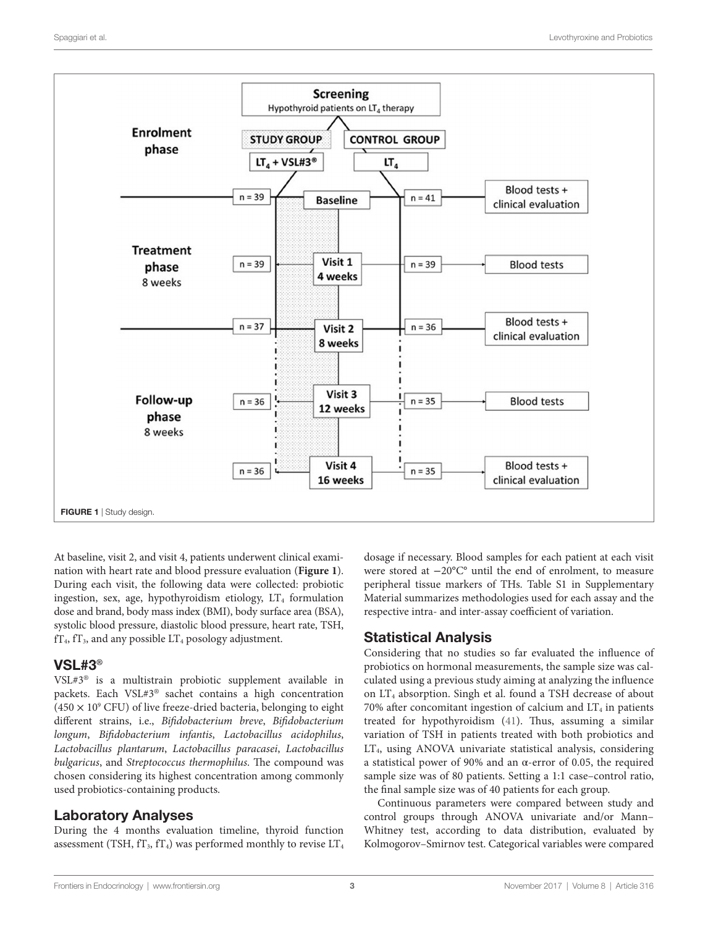

<span id="page-2-0"></span>At baseline, visit 2, and visit 4, patients underwent clinical examination with heart rate and blood pressure evaluation (**[Figure 1](#page-2-0)**). During each visit, the following data were collected: probiotic ingestion, sex, age, hypothyroidism etiology,  $LT_4$  formulation dose and brand, body mass index (BMI), body surface area (BSA), systolic blood pressure, diastolic blood pressure, heart rate, TSH,  $fT_4$ ,  $fT_3$ , and any possible  $LT_4$  posology adjustment.

## VSL#3**®**

VSL#3® is a multistrain probiotic supplement available in packets. Each VSL#3® sachet contains a high concentration  $(450 \times 10^{9}$  CFU) of live freeze-dried bacteria, belonging to eight different strains, i.e., *Bifidobacterium breve*, *Bifidobacterium longum*, *Bifidobacterium infantis*, *Lactobacillus acidophilus*, *Lactobacillus plantarum*, *Lactobacillus paracasei*, *Lactobacillus bulgaricus*, and *Streptococcus thermophilus*. The compound was chosen considering its highest concentration among commonly used probiotics-containing products.

## Laboratory Analyses

During the 4 months evaluation timeline, thyroid function assessment (TSH,  $fT_3$ ,  $fT_4$ ) was performed monthly to revise  $LT_4$  dosage if necessary. Blood samples for each patient at each visit were stored at −20°C° until the end of enrolment, to measure peripheral tissue markers of THs. Table S1 in Supplementary Material summarizes methodologies used for each assay and the respective intra- and inter-assay coefficient of variation.

## Statistical Analysis

Considering that no studies so far evaluated the influence of probiotics on hormonal measurements, the sample size was calculated using a previous study aiming at analyzing the influence on LT4 absorption. Singh et al. found a TSH decrease of about 70% after concomitant ingestion of calcium and  $LT_4$  in patients treated for hypothyroidism [\(41](#page-8-1)). Thus, assuming a similar variation of TSH in patients treated with both probiotics and LT4, using ANOVA univariate statistical analysis, considering a statistical power of 90% and an α-error of 0.05, the required sample size was of 80 patients. Setting a 1:1 case–control ratio, the final sample size was of 40 patients for each group.

Continuous parameters were compared between study and control groups through ANOVA univariate and/or Mann– Whitney test, according to data distribution, evaluated by Kolmogorov–Smirnov test. Categorical variables were compared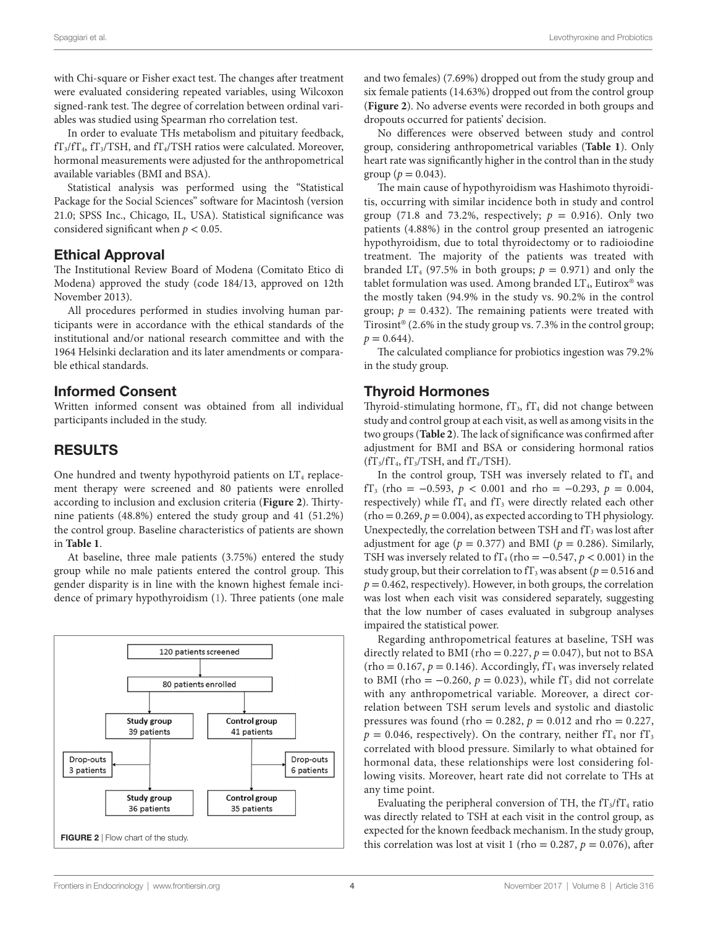with Chi-square or Fisher exact test. The changes after treatment were evaluated considering repeated variables, using Wilcoxon signed-rank test. The degree of correlation between ordinal variables was studied using Spearman rho correlation test.

In order to evaluate THs metabolism and pituitary feedback,  $fT_3/fT_4$ ,  $fT_3/TSH$ , and  $fT_4/TSH$  ratios were calculated. Moreover, hormonal measurements were adjusted for the anthropometrical available variables (BMI and BSA).

Statistical analysis was performed using the "Statistical Package for the Social Sciences" software for Macintosh (version 21.0; SPSS Inc., Chicago, IL, USA). Statistical significance was considered significant when  $p < 0.05$ .

#### Ethical Approval

The Institutional Review Board of Modena (Comitato Etico di Modena) approved the study (code 184/13, approved on 12th November 2013).

All procedures performed in studies involving human participants were in accordance with the ethical standards of the institutional and/or national research committee and with the 1964 Helsinki declaration and its later amendments or comparable ethical standards.

#### Informed Consent

Written informed consent was obtained from all individual participants included in the study.

## RESULTS

One hundred and twenty hypothyroid patients on  $LT_4$  replacement therapy were screened and 80 patients were enrolled according to inclusion and exclusion criteria (**[Figure 2](#page-3-0)**). Thirtynine patients (48.8%) entered the study group and 41 (51.2%) the control group. Baseline characteristics of patients are shown in **[Table 1](#page-4-0)**.

At baseline, three male patients (3.75%) entered the study group while no male patients entered the control group. This gender disparity is in line with the known highest female incidence of primary hypothyroidism [\(1\)](#page-7-0). Three patients (one male

<span id="page-3-0"></span>

and two females) (7.69%) dropped out from the study group and six female patients (14.63%) dropped out from the control group (**[Figure 2](#page-3-0)**). No adverse events were recorded in both groups and dropouts occurred for patients' decision.

No differences were observed between study and control group, considering anthropometrical variables (**[Table 1](#page-4-0)**). Only heart rate was significantly higher in the control than in the study group ( $p = 0.043$ ).

The main cause of hypothyroidism was Hashimoto thyroiditis, occurring with similar incidence both in study and control group (71.8 and 73.2%, respectively;  $p = 0.916$ ). Only two patients (4.88%) in the control group presented an iatrogenic hypothyroidism, due to total thyroidectomy or to radioiodine treatment. The majority of the patients was treated with branded LT<sub>4</sub> (97.5% in both groups;  $p = 0.971$ ) and only the tablet formulation was used. Among branded  $LT_4$ , Eutirox® was the mostly taken (94.9% in the study vs. 90.2% in the control group;  $p = 0.432$ ). The remaining patients were treated with Tirosint® (2.6% in the study group vs. 7.3% in the control group;  $p = 0.644$ .

The calculated compliance for probiotics ingestion was 79.2% in the study group.

## Thyroid Hormones

Thyroid-stimulating hormone,  $f_3$ ,  $f_4$  did not change between study and control group at each visit, as well as among visits in the two groups (**[Table 2](#page-4-1)**). The lack of significance was confirmed after adjustment for BMI and BSA or considering hormonal ratios  $(fT_3/fT_4, fT_3/TSH,$  and  $fT_4/TSH$ ).

In the control group, TSH was inversely related to  $f_4$  and fT<sub>3</sub> (rho =  $-0.593$ ,  $p < 0.001$  and rho =  $-0.293$ ,  $p = 0.004$ , respectively) while  $fT_4$  and  $fT_3$  were directly related each other  $(rho = 0.269, p = 0.004)$ , as expected according to TH physiology. Unexpectedly, the correlation between TSH and  $f_3$  was lost after adjustment for age ( $p = 0.377$ ) and BMI ( $p = 0.286$ ). Similarly, TSH was inversely related to  $fT_4$  (rho =  $-0.547$ ,  $p < 0.001$ ) in the study group, but their correlation to  $f_3$  was absent ( $p = 0.516$  and  $p = 0.462$ , respectively). However, in both groups, the correlation was lost when each visit was considered separately, suggesting that the low number of cases evaluated in subgroup analyses impaired the statistical power.

Regarding anthropometrical features at baseline, TSH was directly related to BMI (rho =  $0.227$ ,  $p = 0.047$ ), but not to BSA  $(rho = 0.167, p = 0.146)$ . Accordingly, fT<sub>4</sub> was inversely related to BMI (rho =  $-0.260$ ,  $p = 0.023$ ), while fT<sub>3</sub> did not correlate with any anthropometrical variable. Moreover, a direct correlation between TSH serum levels and systolic and diastolic pressures was found (rho =  $0.282$ ,  $p = 0.012$  and rho =  $0.227$ ,  $p = 0.046$ , respectively). On the contrary, neither fT<sub>4</sub> nor fT<sub>3</sub> correlated with blood pressure. Similarly to what obtained for hormonal data, these relationships were lost considering following visits. Moreover, heart rate did not correlate to THs at any time point.

Evaluating the peripheral conversion of TH, the  $fT_3/fT_4$  ratio was directly related to TSH at each visit in the control group, as expected for the known feedback mechanism. In the study group, this correlation was lost at visit 1 (rho = 0.287,  $p = 0.076$ ), after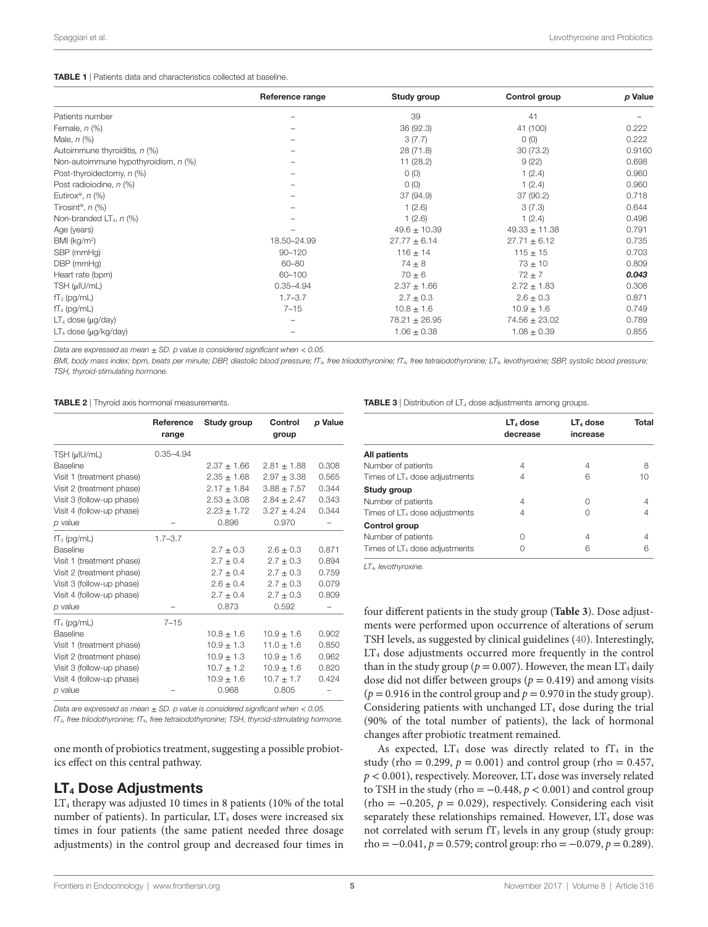<span id="page-4-0"></span>

|                                      | Reference range | Study group       | Control group     | p Value |
|--------------------------------------|-----------------|-------------------|-------------------|---------|
| Patients number                      |                 | 39                | 41                |         |
| Female, $n$ $(\%)$                   |                 | 36 (92.3)         | 41 (100)          | 0.222   |
| Male, $n$ $(\%)$                     |                 | 3(7.7)            | O(0)              | 0.222   |
| Autoimmune thyroiditis, n (%)        |                 | 28 (71.8)         | 30(73.2)          | 0.9160  |
| Non-autoimmune hypothyroidism, n (%) |                 | 11(28.2)          | 9(22)             | 0.698   |
| Post-thyroidectomy, n (%)            |                 | O(0)              | 1(2.4)            | 0.960   |
| Post radioiodine, n (%)              |                 | O(0)              | 1(2.4)            | 0.960   |
| Eutirox®, $n$ (%)                    |                 | 37 (94.9)         | 37 (90.2)         | 0.718   |
| Tirosint <sup>®</sup> , $n$ (%)      |                 | 1(2.6)            | 3(7.3)            | 0.644   |
| Non-branded $LT_4$ , $n$ (%)         |                 | 1(2.6)            | 1(2.4)            | 0.496   |
| Age (years)                          |                 | $49.6 \pm 10.39$  | $49.33 \pm 11.38$ | 0.791   |
| BMI (kg/m <sup>2</sup> )             | 18.50-24.99     | $27.77 \pm 6.14$  | $27.71 \pm 6.12$  | 0.735   |
| SBP (mmHg)                           | $90 - 120$      | $116 \pm 14$      | $115 \pm 15$      | 0.703   |
| DBP (mmHg)                           | $60 - 80$       | $74 \pm 8$        | $73 \pm 10$       | 0.809   |
| Heart rate (bpm)                     | 60-100          | $70 \pm 6$        | $72 + 7$          | 0.043   |
| TSH (µIU/mL)                         | $0.35 - 4.94$   | $2.37 \pm 1.66$   | $2.72 \pm 1.83$   | 0.308   |
| $TT_3$ (pg/mL)                       | $1.7 - 3.7$     | $2.7 \pm 0.3$     | $2.6 \pm 0.3$     | 0.871   |
| $TT_4$ (pg/mL)                       | $7 - 15$        | $10.8 \pm 1.6$    | $10.9 \pm 1.6$    | 0.749   |
| $LT4$ dose ( $\mu$ g/day)            |                 | $78.21 \pm 26.95$ | $74.56 \pm 23.02$ | 0.789   |
| $LT_4$ dose ( $\mu$ g/kg/day)        |                 | $1.06 \pm 0.38$   | $1.08 \pm 0.39$   | 0.855   |

*Data are expressed as mean* ± *SD. p value is considered significant when* < *0.05.*

*BMI, body mass index; bpm, beats per minute; DBP, diastolic blood pressure; fT3, free triiodothyronine; fT4, free tetraiodothyronine; LT4, levothyroxine; SBP, systolic blood pressure; TSH, thyroid-stimulating hormone.*

<span id="page-4-1"></span>TABLE 2 | Thyroid axis hormonal measurements.

|                           | Reference<br>range | Study group     | Control<br>group | p Value |
|---------------------------|--------------------|-----------------|------------------|---------|
| TSH (µIU/mL)              | $0.35 - 4.94$      |                 |                  |         |
| <b>Baseline</b>           |                    | $2.37 \pm 1.66$ | $2.81 \pm 1.88$  | 0.308   |
| Visit 1 (treatment phase) |                    | $2.35 \pm 1.68$ | $2.97 \pm 3.38$  | 0.565   |
| Visit 2 (treatment phase) |                    | $2.17 \pm 1.84$ | $3.88 \pm 7.57$  | 0.344   |
| Visit 3 (follow-up phase) |                    | $2.53 + 3.08$   | $2.84 + 2.47$    | 0.343   |
| Visit 4 (follow-up phase) |                    | $2.23 \pm 1.72$ | $3.27 + 4.24$    | 0.344   |
| p value                   |                    | 0.896           | 0.970            |         |
| $T_3$ (pg/mL)             | $1.7 - 3.7$        |                 |                  |         |
| <b>Baseline</b>           |                    | $2.7 \pm 0.3$   | $2.6 + 0.3$      | 0.871   |
| Visit 1 (treatment phase) |                    | $2.7 \pm 0.4$   | $2.7 \pm 0.3$    | 0.894   |
| Visit 2 (treatment phase) |                    | $2.7 \pm 0.4$   | $2.7 \pm 0.3$    | 0.759   |
| Visit 3 (follow-up phase) |                    | $2.6 \pm 0.4$   | $2.7 \pm 0.3$    | 0.079   |
| Visit 4 (follow-up phase) |                    | $2.7 \pm 0.4$   | $2.7 \pm 0.3$    | 0.809   |
| p value                   |                    | 0.873           | 0.592            |         |
| $TT_4$ (pg/mL)            | $7 - 15$           |                 |                  |         |
| <b>Baseline</b>           |                    | $10.8 \pm 1.6$  | $10.9 \pm 1.6$   | 0.902   |
| Visit 1 (treatment phase) |                    | $10.9 \pm 1.3$  | $11.0 \pm 1.6$   | 0.850   |
| Visit 2 (treatment phase) |                    | $10.9 \pm 1.3$  | $10.9 \pm 1.6$   | 0.962   |
| Visit 3 (follow-up phase) |                    | $10.7 \pm 1.2$  | $10.9 \pm 1.6$   | 0.820   |
| Visit 4 (follow-up phase) |                    | $10.9 \pm 1.6$  | $10.7 + 1.7$     | 0.424   |
| p value                   |                    | 0.968           | 0.805            |         |

*Data are expressed as mean* ± *SD. p value is considered significant when* < *0.05.*

*fT3, free triiodothyronine; fT4, free tetraiodothyronine; TSH, thyroid-stimulating hormone.*

one month of probiotics treatment, suggesting a possible probiotics effect on this central pathway.

## LT<sub>4</sub> Dose Adjustments

 $LT_4$  therapy was adjusted 10 times in 8 patients (10% of the total number of patients). In particular,  $LT_4$  doses were increased six times in four patients (the same patient needed three dosage adjustments) in the control group and decreased four times in

<span id="page-4-2"></span>

| <b>TABLE 3</b>   Distribution of $LT_4$ dose adjustments among groups. |  |
|------------------------------------------------------------------------|--|
|------------------------------------------------------------------------|--|

|                                           | $LT4$ dose<br>decrease | $LT4$ dose<br>increase | Total |
|-------------------------------------------|------------------------|------------------------|-------|
| All patients                              |                        |                        |       |
| Number of patients                        | 4                      | 4                      | 8     |
| Times of LT <sub>4</sub> dose adjustments | 4                      | 6                      | 10    |
| Study group                               |                        |                        |       |
| Number of patients                        | 4                      |                        |       |
| Times of LT <sub>4</sub> dose adjustments | 4                      |                        |       |
| Control group                             |                        |                        |       |
| Number of patients                        | Ω                      | 4                      |       |
| Times of LT <sub>4</sub> dose adjustments |                        | հ                      | 6     |
|                                           |                        |                        |       |

*LT4, levothyroxine.*

four different patients in the study group (**[Table 3](#page-4-2)**). Dose adjustments were performed upon occurrence of alterations of serum TSH levels, as suggested by clinical guidelines [\(40](#page-8-0)). Interestingly, LT<sub>4</sub> dose adjustments occurred more frequently in the control than in the study group ( $p = 0.007$ ). However, the mean LT<sub>4</sub> daily dose did not differ between groups ( $p = 0.419$ ) and among visits ( $p = 0.916$  in the control group and  $p = 0.970$  in the study group). Considering patients with unchanged  $LT<sub>4</sub>$  dose during the trial (90% of the total number of patients), the lack of hormonal changes after probiotic treatment remained.

As expected,  $LT_4$  dose was directly related to  $TT_4$  in the study (rho = 0.299,  $p = 0.001$ ) and control group (rho = 0.457,  $p < 0.001$ ), respectively. Moreover, LT<sub>4</sub> dose was inversely related to TSH in the study (rho =  $-0.448$ ,  $p < 0.001$ ) and control group  $(rho = -0.205, p = 0.029)$ , respectively. Considering each visit separately these relationships remained. However,  $LT_4$  dose was not correlated with serum  $f_3$  levels in any group (study group:  $rho = -0.041, p = 0.579$ ; control group: rho =  $-0.079, p = 0.289$ ).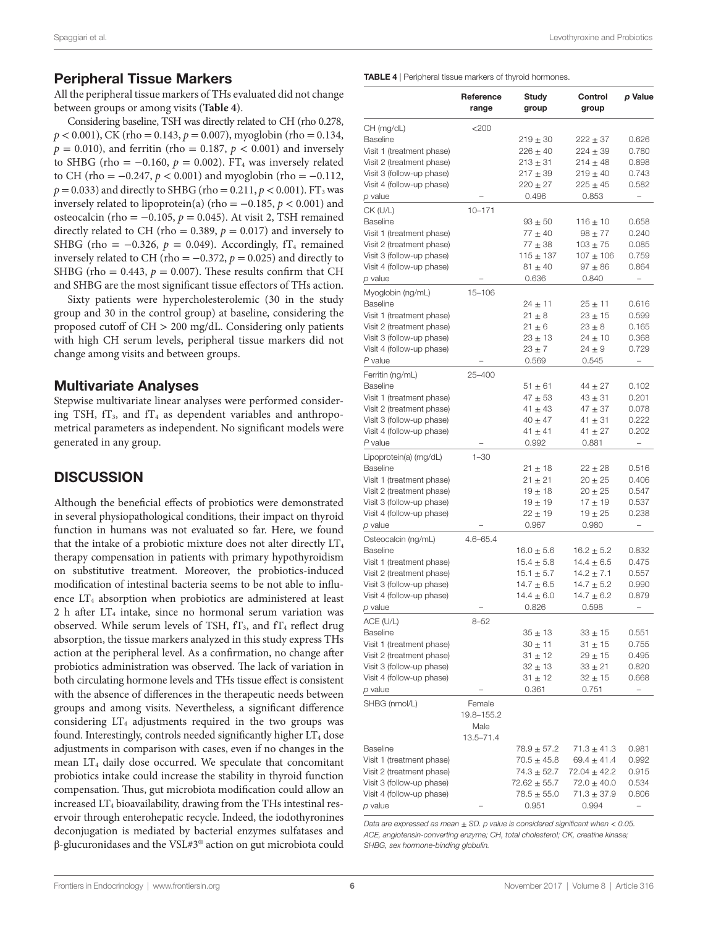## Peripheral Tissue Markers

All the peripheral tissue markers of THs evaluated did not change between groups or among visits (**[Table 4](#page-5-0)**).

Considering baseline, TSH was directly related to CH (rho 0.278,  $p < 0.001$ ), CK (rho = 0.143,  $p = 0.007$ ), myoglobin (rho = 0.134,  $p = 0.010$ ), and ferritin (rho = 0.187,  $p < 0.001$ ) and inversely to SHBG (rho =  $-0.160$ ,  $p = 0.002$ ). FT<sub>4</sub> was inversely related to CH (rho =  $-0.247$ ,  $p < 0.001$ ) and myoglobin (rho =  $-0.112$ ,  $p = 0.033$ ) and directly to SHBG (rho = 0.211,  $p < 0.001$ ). FT<sub>3</sub> was inversely related to lipoprotein(a) (rho =  $-0.185$ ,  $p < 0.001$ ) and osteocalcin (rho = −0.105, *p* = 0.045). At visit 2, TSH remained directly related to CH (rho =  $0.389$ ,  $p = 0.017$ ) and inversely to SHBG (rho =  $-0.326$ ,  $p = 0.049$ ). Accordingly, fT<sub>4</sub> remained inversely related to CH (rho =  $-0.372$ ,  $p = 0.025$ ) and directly to SHBG (rho =  $0.443$ ,  $p = 0.007$ ). These results confirm that CH and SHBG are the most significant tissue effectors of THs action.

Sixty patients were hypercholesterolemic (30 in the study group and 30 in the control group) at baseline, considering the proposed cutoff of CH > 200 mg/dL. Considering only patients with high CH serum levels, peripheral tissue markers did not change among visits and between groups.

## Multivariate Analyses

Stepwise multivariate linear analyses were performed considering TSH,  $fT_3$ , and  $fT_4$  as dependent variables and anthropometrical parameters as independent. No significant models were generated in any group.

## **DISCUSSION**

Although the beneficial effects of probiotics were demonstrated in several physiopathological conditions, their impact on thyroid function in humans was not evaluated so far. Here, we found that the intake of a probiotic mixture does not alter directly  $LT<sub>4</sub>$ therapy compensation in patients with primary hypothyroidism on substitutive treatment. Moreover, the probiotics-induced modification of intestinal bacteria seems to be not able to influence LT<sub>4</sub> absorption when probiotics are administered at least 2 h after  $LT_4$  intake, since no hormonal serum variation was observed. While serum levels of TSH,  $fT_3$ , and  $fT_4$  reflect drug absorption, the tissue markers analyzed in this study express THs action at the peripheral level. As a confirmation, no change after probiotics administration was observed. The lack of variation in both circulating hormone levels and THs tissue effect is consistent with the absence of differences in the therapeutic needs between groups and among visits. Nevertheless, a significant difference considering  $LT_4$  adjustments required in the two groups was found. Interestingly, controls needed significantly higher  $LT<sub>4</sub>$  dose adjustments in comparison with cases, even if no changes in the mean  $LT_4$  daily dose occurred. We speculate that concomitant probiotics intake could increase the stability in thyroid function compensation. Thus, gut microbiota modification could allow an increased  $LT_4$  bioavailability, drawing from the THs intestinal reservoir through enterohepatic recycle. Indeed, the iodothyronines deconjugation is mediated by bacterial enzymes sulfatases and β-glucuronidases and the VSL#3® action on gut microbiota could

<span id="page-5-0"></span>TABLE 4 | Peripheral tissue markers of thyroid hormones.

|                                                                                                                                                                                | Reference<br>range                            | Study<br>group                                                                                    | Control<br>group                                                                                      | p Value                                                        |
|--------------------------------------------------------------------------------------------------------------------------------------------------------------------------------|-----------------------------------------------|---------------------------------------------------------------------------------------------------|-------------------------------------------------------------------------------------------------------|----------------------------------------------------------------|
| CH (mg/dL)<br>Baseline<br>Visit 1 (treatment phase)<br>Visit 2 (treatment phase)                                                                                               | $<$ 200                                       | $219 \pm 30$<br>$226 \pm 40$<br>$213 \pm 31$                                                      | $222 \pm 37$<br>224 ± 39<br>$214 \pm 48$                                                              | 0.626<br>0.780<br>0.898                                        |
| Visit 3 (follow-up phase)<br>Visit 4 (follow-up phase)<br><i>p</i> value                                                                                                       |                                               | $217 \pm 39$<br>$220 \pm 27$<br>0.496                                                             | $219 \pm 40$<br>$225 \pm 45$<br>0.853                                                                 | 0.743<br>0.582                                                 |
| CK (U/L)<br><b>Baseline</b><br>Visit 1 (treatment phase)<br>Visit 2 (treatment phase)<br>Visit 3 (follow-up phase)<br>Visit 4 (follow-up phase)                                | $10 - 171$                                    | $93 \pm 50$<br>$77 \pm 40$<br>$77 + 38$<br>$115 \pm 137$<br>$81 \pm 40$                           | $116 \pm 10$<br>$98 + 77$<br>$103 + 75$<br>$107 \pm 106$<br>$97 \pm 86$                               | 0.658<br>0.240<br>0.085<br>0.759<br>0.864                      |
| p value<br>Myoglobin (ng/mL)<br><b>Baseline</b><br>Visit 1 (treatment phase)<br>Visit 2 (treatment phase)<br>Visit 3 (follow-up phase)<br>Visit 4 (follow-up phase)<br>P value | $15 - 106$                                    | 0.636<br>$24 \pm 11$<br>$21 \pm 8$<br>$21 \pm 6$<br>$23 \pm 13$<br>$23 \pm 7$<br>0.569            | 0.840<br>$25 \pm 11$<br>$23 \pm 15$<br>$23 \pm 8$<br>$24 \pm 10$<br>$24 \pm 9$<br>0.545               | 0.616<br>0.599<br>0.165<br>0.368<br>0.729                      |
| Ferritin (ng/mL)<br><b>Baseline</b><br>Visit 1 (treatment phase)<br>Visit 2 (treatment phase)<br>Visit 3 (follow-up phase)<br>Visit 4 (follow-up phase)<br>P value             | 25-400                                        | $51 \pm 61$<br>47 ± 53<br>41 $\pm$ 43<br>40 $\pm$ 47<br>41 $\pm$ 41<br>0.992                      | 44 $\pm 27$<br>$43 \pm 31$<br>$47 \pm 37$<br>41 $\pm$ 31<br>41 $\pm$ 27<br>0.881                      | 0.102<br>0.201<br>0.078<br>0.222<br>0.202                      |
| Lipoprotein(a) (mg/dL)<br>Baseline<br>Visit 1 (treatment phase)<br>Visit 2 (treatment phase)<br>Visit 3 (follow-up phase)<br>Visit 4 (follow-up phase)<br><i>p</i> value       | $1 - 30$                                      | 21 ± 18<br>$21 \pm 21$<br>$19 \pm 18$<br>19 $\pm$ 19<br>22 ± 19<br>0.967                          | $22 \pm 28$<br>$20 \pm 25$<br>$20 \pm 25$<br>17 $\pm$ 19<br>19 $\pm 25$<br>0.980                      | 0.516<br>0.406<br>0.547<br>0.537<br>0.238<br>-                 |
| Osteocalcin (ng/mL)<br><b>Baseline</b><br>Visit 1 (treatment phase)<br>Visit 2 (treatment phase)<br>Visit 3 (follow-up phase)<br>Visit 4 (follow-up phase)<br><i>p</i> value   | $4.6 - 65.4$                                  | $16.0 \pm 5.6$<br>$15.4 \pm 5.8$<br>$15.1 \pm 5.7$<br>14.7 $\pm$ 6.5<br>$14.4 \pm 6.0$<br>0.826   | $16.2 \pm 5.2$<br>14.4 $\pm$ 6.5<br>$14.2 \pm 7.1$<br>14.7 $\pm$ 5.2<br>$14.7 \pm 6.2$<br>0.598       | 0.832<br>0.475<br>0.557<br>0.990<br>0.879                      |
| ACE (U/L)<br><b>Baseline</b><br>Visit 1 (treatment phase)<br>Visit 2 (treatment phase)<br>Visit 3 (follow-up phase)<br>Visit 4 (follow-up phase)<br>p value                    | $8 - 52$                                      | 35 ± 13<br>30 ± 11<br>$31 \pm 12$<br>$32 \pm 13$<br>31 ± 12<br>0.361                              | $33 \pm 15$<br>$31 \pm 15$<br>$29 \pm 15$<br>$33 \pm 21$<br>$32 \pm 15$<br>0.751                      | 0.551<br>0.755<br>0.495<br>0.820<br>0.668<br>-                 |
| SHBG (nmol/L)                                                                                                                                                                  | Female<br>19.8-155.2<br>Male<br>$13.5 - 71.4$ |                                                                                                   |                                                                                                       |                                                                |
| Baseline<br>Visit 1 (treatment phase)<br>Visit 2 (treatment phase)<br>Visit 3 (follow-up phase)<br>Visit 4 (follow-up phase)<br><i>p</i> value                                 |                                               | $78.9 \pm 57.2$<br>$70.5 \pm 45.8$<br>$74.3 \pm 52.7$<br>$72.62 \pm 55.7$<br>78.5 ± 55.0<br>0.951 | $71.3 \pm 41.3$<br>$69.4 \pm 41.4$<br>$72.04 \pm 42.2$<br>$72.0 \pm 40.0$<br>$71.3 \pm 37.9$<br>0.994 | 0.981<br>0.992<br>0.915<br>0.534<br>0.806<br>$\qquad \qquad -$ |

*Data are expressed as mean* ± *SD. p value is considered significant when* < *0.05. ACE, angiotensin-converting enzyme; CH, total cholesterol; CK, creatine kinase; SHBG, sex hormone-binding globulin.*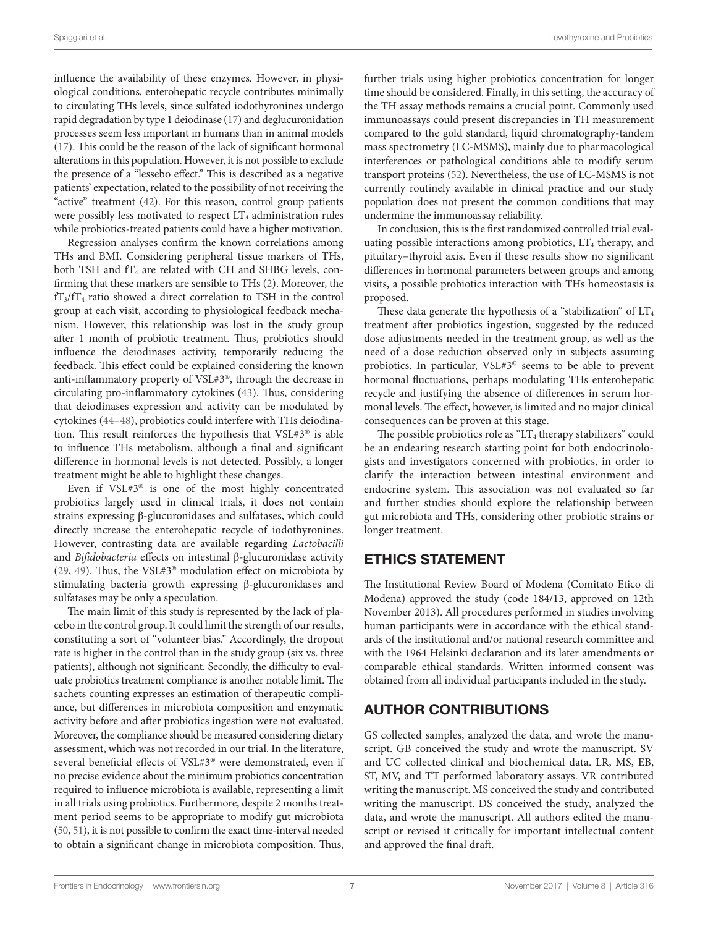influence the availability of these enzymes. However, in physiological conditions, enterohepatic recycle contributes minimally to circulating THs levels, since sulfated iodothyronines undergo rapid degradation by type 1 deiodinase [\(17](#page-7-11)) and deglucuronidation processes seem less important in humans than in animal models ([17\)](#page-7-11). This could be the reason of the lack of significant hormonal alterations in this population. However, it is not possible to exclude the presence of a "lessebo effect." This is described as a negative patients' expectation, related to the possibility of not receiving the "active" treatment ([42\)](#page-8-2). For this reason, control group patients were possibly less motivated to respect  $LT_4$  administration rules while probiotics-treated patients could have a higher motivation.

Regression analyses confirm the known correlations among THs and BMI. Considering peripheral tissue markers of THs, both TSH and  $fT_4$  are related with CH and SHBG levels, confirming that these markers are sensible to THs [\(2](#page-7-1)). Moreover, the fT3/fT4 ratio showed a direct correlation to TSH in the control group at each visit, according to physiological feedback mechanism. However, this relationship was lost in the study group after 1 month of probiotic treatment. Thus, probiotics should influence the deiodinases activity, temporarily reducing the feedback. This effect could be explained considering the known anti-inflammatory property of VSL#3®, through the decrease in circulating pro-inflammatory cytokines [\(43](#page-8-3)). Thus, considering that deiodinases expression and activity can be modulated by cytokines ([44–](#page-8-4)[48\)](#page-8-5), probiotics could interfere with THs deiodination. This result reinforces the hypothesis that VSL#3® is able to influence THs metabolism, although a final and significant difference in hormonal levels is not detected. Possibly, a longer treatment might be able to highlight these changes.

Even if VSL#3® is one of the most highly concentrated probiotics largely used in clinical trials, it does not contain strains expressing β-glucuronidases and sulfatases, which could directly increase the enterohepatic recycle of iodothyronines. However, contrasting data are available regarding *Lactobacilli* and *Bifidobacteria* effects on intestinal β-glucuronidase activity ([29,](#page-7-21) [49](#page-8-6)). Thus, the VSL#3® modulation effect on microbiota by stimulating bacteria growth expressing β-glucuronidases and sulfatases may be only a speculation.

The main limit of this study is represented by the lack of placebo in the control group. It could limit the strength of our results, constituting a sort of "volunteer bias." Accordingly, the dropout rate is higher in the control than in the study group (six vs. three patients), although not significant. Secondly, the difficulty to evaluate probiotics treatment compliance is another notable limit. The sachets counting expresses an estimation of therapeutic compliance, but differences in microbiota composition and enzymatic activity before and after probiotics ingestion were not evaluated. Moreover, the compliance should be measured considering dietary assessment, which was not recorded in our trial. In the literature, several beneficial effects of VSL#3® were demonstrated, even if no precise evidence about the minimum probiotics concentration required to influence microbiota is available, representing a limit in all trials using probiotics. Furthermore, despite 2 months treatment period seems to be appropriate to modify gut microbiota [\(50](#page-8-7), [51](#page-8-8)), it is not possible to confirm the exact time-interval needed to obtain a significant change in microbiota composition. Thus,

further trials using higher probiotics concentration for longer time should be considered. Finally, in this setting, the accuracy of the TH assay methods remains a crucial point. Commonly used immunoassays could present discrepancies in TH measurement compared to the gold standard, liquid chromatography-tandem mass spectrometry (LC-MSMS), mainly due to pharmacological interferences or pathological conditions able to modify serum transport proteins [\(52](#page-8-9)). Nevertheless, the use of LC-MSMS is not currently routinely available in clinical practice and our study population does not present the common conditions that may undermine the immunoassay reliability.

In conclusion, this is the first randomized controlled trial evaluating possible interactions among probiotics,  $LT_4$  therapy, and pituitary–thyroid axis. Even if these results show no significant differences in hormonal parameters between groups and among visits, a possible probiotics interaction with THs homeostasis is proposed.

These data generate the hypothesis of a "stabilization" of  $LT<sub>4</sub>$ treatment after probiotics ingestion, suggested by the reduced dose adjustments needed in the treatment group, as well as the need of a dose reduction observed only in subjects assuming probiotics. In particular, VSL#3® seems to be able to prevent hormonal fluctuations, perhaps modulating THs enterohepatic recycle and justifying the absence of differences in serum hormonal levels. The effect, however, is limited and no major clinical consequences can be proven at this stage.

The possible probiotics role as " $LT_4$  therapy stabilizers" could be an endearing research starting point for both endocrinologists and investigators concerned with probiotics, in order to clarify the interaction between intestinal environment and endocrine system. This association was not evaluated so far and further studies should explore the relationship between gut microbiota and THs, considering other probiotic strains or longer treatment.

## ETHICS STATEMENT

The Institutional Review Board of Modena (Comitato Etico di Modena) approved the study (code 184/13, approved on 12th November 2013). All procedures performed in studies involving human participants were in accordance with the ethical standards of the institutional and/or national research committee and with the 1964 Helsinki declaration and its later amendments or comparable ethical standards. Written informed consent was obtained from all individual participants included in the study.

# AUTHOR CONTRIBUTIONS

GS collected samples, analyzed the data, and wrote the manuscript. GB conceived the study and wrote the manuscript. SV and UC collected clinical and biochemical data. LR, MS, EB, ST, MV, and TT performed laboratory assays. VR contributed writing the manuscript. MS conceived the study and contributed writing the manuscript. DS conceived the study, analyzed the data, and wrote the manuscript. All authors edited the manuscript or revised it critically for important intellectual content and approved the final draft.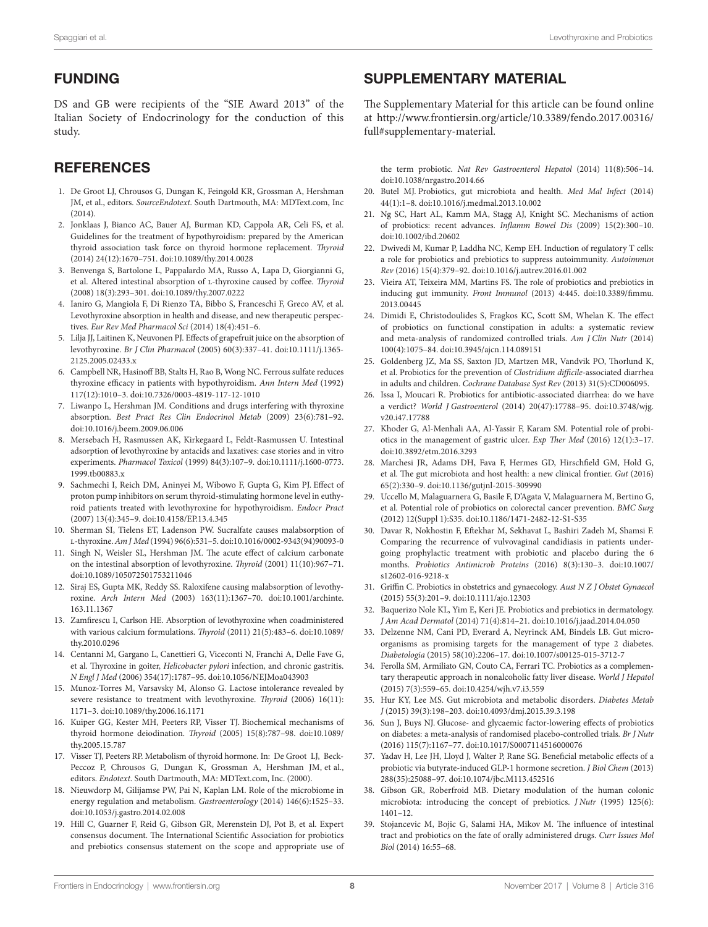# FUNDING

DS and GB were recipients of the "SIE Award 2013" of the Italian Society of Endocrinology for the conduction of this study.

# **REFERENCES**

- <span id="page-7-0"></span>1. De Groot LJ, Chrousos G, Dungan K, Feingold KR, Grossman A, Hershman JM, et al., editors. *SourceEndotext*. South Dartmouth, MA: MDText.com, Inc  $(2014)$
- <span id="page-7-1"></span>2. Jonklaas J, Bianco AC, Bauer AJ, Burman KD, Cappola AR, Celi FS, et al. Guidelines for the treatment of hypothyroidism: prepared by the American thyroid association task force on thyroid hormone replacement. *Thyroid* (2014) 24(12):1670–751. doi:[10.1089/thy.2014.0028](https://doi.org/10.1089/thy.2014.0028)
- <span id="page-7-2"></span>3. Benvenga S, Bartolone L, Pappalardo MA, Russo A, Lapa D, Giorgianni G, et al. Altered intestinal absorption of l-thyroxine caused by coffee. *Thyroid* (2008) 18(3):293–301. doi:[10.1089/thy.2007.0222](https://doi.org/10.1089/thy.2007.0222)
- <span id="page-7-9"></span>4. Ianiro G, Mangiola F, Di Rienzo TA, Bibbo S, Franceschi F, Greco AV, et al. Levothyroxine absorption in health and disease, and new therapeutic perspectives. *Eur Rev Med Pharmacol Sci* (2014) 18(4):451–6.
- <span id="page-7-3"></span>5. Lilja JJ, Laitinen K, Neuvonen PJ. Effects of grapefruit juice on the absorption of levothyroxine. *Br J Clin Pharmacol* (2005) 60(3):337–41. doi:[10.1111/j.1365-](https://doi.org/10.1111/j.1365-
2125.2005.02433.x) [2125.2005.02433.x](https://doi.org/10.1111/j.1365-
2125.2005.02433.x)
- <span id="page-7-4"></span>6. Campbell NR, Hasinoff BB, Stalts H, Rao B, Wong NC. Ferrous sulfate reduces thyroxine efficacy in patients with hypothyroidism. *Ann Intern Med* (1992) 117(12):1010–3. doi:[10.7326/0003-4819-117-12-1010](https://doi.org/10.7326/0003-4819-117-12-1010)
- <span id="page-7-6"></span>7. Liwanpo L, Hershman JM. Conditions and drugs interfering with thyroxine absorption. *Best Pract Res Clin Endocrinol Metab* (2009) 23(6):781–92. doi:[10.1016/j.beem.2009.06.006](https://doi.org/10.1016/j.beem.2009.06.006)
- 8. Mersebach H, Rasmussen AK, Kirkegaard L, Feldt-Rasmussen U. Intestinal adsorption of levothyroxine by antacids and laxatives: case stories and in vitro experiments. *Pharmacol Toxicol* (1999) 84(3):107–9. doi[:10.1111/j.1600-0773.](https://doi.org/10.1111/j.1600-
0773.1999.tb00883.x) 1999.tb00883.x
- 9. Sachmechi I, Reich DM, Aninyei M, Wibowo F, Gupta G, Kim PJ. Effect of proton pump inhibitors on serum thyroid-stimulating hormone level in euthyroid patients treated with levothyroxine for hypothyroidism. *Endocr Pract* (2007) 13(4):345–9. doi[:10.4158/EP.13.4.345](https://doi.org/10.4158/EP.13.4.345)
- 10. Sherman SI, Tielens ET, Ladenson PW. Sucralfate causes malabsorption of l-thyroxine. *Am J Med* (1994) 96(6):531–5. doi[:10.1016/0002-9343\(94\)90093-0](https://doi.org/10.1016/0002-9343(94)90093-0)
- 11. Singh N, Weisler SL, Hershman JM. The acute effect of calcium carbonate on the intestinal absorption of levothyroxine. *Thyroid* (2001) 11(10):967–71. doi:[10.1089/105072501753211046](https://doi.org/10.1089/105072501753211046)
- 12. Siraj ES, Gupta MK, Reddy SS. Raloxifene causing malabsorption of levothyroxine. *Arch Intern Med* (2003) 163(11):1367–70. doi[:10.1001/archinte.](https://doi.org/10.1001/archinte.
163.11.1367) [163.11.1367](https://doi.org/10.1001/archinte.
163.11.1367)
- <span id="page-7-5"></span>13. Zamfirescu I, Carlson HE. Absorption of levothyroxine when coadministered with various calcium formulations. *Thyroid* (2011) 21(5):483–6. doi[:10.1089/](https://doi.org/10.1089/thy.2010.0296) [thy.2010.0296](https://doi.org/10.1089/thy.2010.0296)
- <span id="page-7-7"></span>14. Centanni M, Gargano L, Canettieri G, Viceconti N, Franchi A, Delle Fave G, et al. Thyroxine in goiter, *Helicobacter pylori* infection, and chronic gastritis. *N Engl J Med* (2006) 354(17):1787–95. doi:[10.1056/NEJMoa043903](https://doi.org/10.1056/NEJMoa043903)
- <span id="page-7-8"></span>15. Munoz-Torres M, Varsavsky M, Alonso G. Lactose intolerance revealed by severe resistance to treatment with levothyroxine. *Thyroid* (2006) 16(11): 1171–3. doi[:10.1089/thy.2006.16.1171](https://doi.org/10.1089/thy.2006.16.1171)
- <span id="page-7-10"></span>16. Kuiper GG, Kester MH, Peeters RP, Visser TJ. Biochemical mechanisms of thyroid hormone deiodination. *Thyroid* (2005) 15(8):787–98. doi[:10.1089/](https://doi.org/10.1089/thy.2005.15.787) [thy.2005.15.787](https://doi.org/10.1089/thy.2005.15.787)
- <span id="page-7-11"></span>17. Visser TJ, Peeters RP. Metabolism of thyroid hormone. In: De Groot LJ, Beck-Peccoz P, Chrousos G, Dungan K, Grossman A, Hershman JM, et al., editors. *Endotext*. South Dartmouth, MA: [MDText.com,](http://MDText.com) Inc. (2000).
- <span id="page-7-12"></span>18. Nieuwdorp M, Gilijamse PW, Pai N, Kaplan LM. Role of the microbiome in energy regulation and metabolism. *Gastroenterology* (2014) 146(6):1525–33. doi:[10.1053/j.gastro.2014.02.008](https://doi.org/10.1053/j.gastro.2014.02.008)
- <span id="page-7-13"></span>19. Hill C, Guarner F, Reid G, Gibson GR, Merenstein DJ, Pot B, et al. Expert consensus document. The International Scientific Association for probiotics and prebiotics consensus statement on the scope and appropriate use of

## SUPPLEMENTARY MATERIAL

The Supplementary Material for this article can be found online at [http://www.frontiersin.org/article/10.3389/fendo.2017.00316/](http://www.frontiersin.org/article/10.3389/fendo.2017.00316/full#supplementary-material) [full#supplementary-material.](http://www.frontiersin.org/article/10.3389/fendo.2017.00316/full#supplementary-material)

<span id="page-7-14"></span>the term probiotic. *Nat Rev Gastroenterol Hepatol* (2014) 11(8):506–14. doi:[10.1038/nrgastro.2014.66](https://doi.org/10.1038/nrgastro.2014.66)

- 20. Butel MJ. Probiotics, gut microbiota and health. *Med Mal Infect* (2014) 44(1):1–8. doi:[10.1016/j.medmal.2013.10.002](https://doi.org/10.1016/j.medmal.2013.10.002)
- <span id="page-7-15"></span>21. Ng SC, Hart AL, Kamm MA, Stagg AJ, Knight SC. Mechanisms of action of probiotics: recent advances. *Inflamm Bowel Dis* (2009) 15(2):300–10. doi:[10.1002/ibd.20602](https://doi.org/10.1002/ibd.20602)
- 22. Dwivedi M, Kumar P, Laddha NC, Kemp EH. Induction of regulatory T cells: a role for probiotics and prebiotics to suppress autoimmunity. *Autoimmun Rev* (2016) 15(4):379–92. doi[:10.1016/j.autrev.2016.01.002](https://doi.org/10.1016/j.autrev.2016.01.002)
- <span id="page-7-16"></span>23. Vieira AT, Teixeira MM, Martins FS. The role of probiotics and prebiotics in inducing gut immunity. *Front Immunol* (2013) 4:445. doi[:10.3389/fimmu.](https://doi.org/10.3389/fimmu.
2013.00445) [2013.00445](https://doi.org/10.3389/fimmu.
2013.00445)
- <span id="page-7-17"></span>24. Dimidi E, Christodoulides S, Fragkos KC, Scott SM, Whelan K. The effect of probiotics on functional constipation in adults: a systematic review and meta-analysis of randomized controlled trials. *Am J Clin Nutr* (2014) 100(4):1075–84. doi:[10.3945/ajcn.114.089151](https://doi.org/10.3945/ajcn.114.089151)
- 25. Goldenberg JZ, Ma SS, Saxton JD, Martzen MR, Vandvik PO, Thorlund K, et al. Probiotics for the prevention of *Clostridium difficile*-associated diarrhea in adults and children. *Cochrane Database Syst Rev* (2013) 31(5):CD006095.
- 26. Issa I, Moucari R. Probiotics for antibiotic-associated diarrhea: do we have a verdict? *World J Gastroenterol* (2014) 20(47):17788–95. doi:[10.3748/wjg.](https://doi.org/10.3748/wjg.
v20.i47.17788) [v20.i47.17788](https://doi.org/10.3748/wjg.
v20.i47.17788)
- 27. Khoder G, Al-Menhali AA, Al-Yassir F, Karam SM. Potential role of probiotics in the management of gastric ulcer. *Exp Ther Med* (2016) 12(1):3–17. doi:[10.3892/etm.2016.3293](https://doi.org/10.3892/etm.2016.3293)
- 28. Marchesi JR, Adams DH, Fava F, Hermes GD, Hirschfield GM, Hold G, et al. The gut microbiota and host health: a new clinical frontier. *Gut* (2016) 65(2):330–9. doi:[10.1136/gutjnl-2015-309990](https://doi.org/10.1136/gutjnl-2015-309990)
- <span id="page-7-21"></span>29. Uccello M, Malaguarnera G, Basile F, D'Agata V, Malaguarnera M, Bertino G, et al. Potential role of probiotics on colorectal cancer prevention. *BMC Surg* (2012) 12(Suppl 1):S35. doi[:10.1186/1471-2482-12-S1-S35](https://doi.org/10.1186/1471-2482-12-S1-S35)
- 30. Davar R, Nokhostin F, Eftekhar M, Sekhavat L, Bashiri Zadeh M, Shamsi F. Comparing the recurrence of vulvovaginal candidiasis in patients undergoing prophylactic treatment with probiotic and placebo during the 6 months. *Probiotics Antimicrob Proteins* (2016) 8(3):130–3. doi[:10.1007/](https://doi.org/10.1007/s12602-016-9218-x) [s12602-016-9218-x](https://doi.org/10.1007/s12602-016-9218-x)
- 31. Griffin C. Probiotics in obstetrics and gynaecology. *Aust N Z J Obstet Gynaecol* (2015) 55(3):201–9. doi[:10.1111/ajo.12303](https://doi.org/10.1111/ajo.12303)
- 32. Baquerizo Nole KL, Yim E, Keri JE. Probiotics and prebiotics in dermatology. *J Am Acad Dermatol* (2014) 71(4):814–21. doi:[10.1016/j.jaad.2014.04.050](https://doi.org/10.1016/j.jaad.2014.04.050)
- 33. Delzenne NM, Cani PD, Everard A, Neyrinck AM, Bindels LB. Gut microorganisms as promising targets for the management of type 2 diabetes. *Diabetologia* (2015) 58(10):2206–17. doi[:10.1007/s00125-015-3712-7](https://doi.org/10.1007/s00125-015-3712-7)
- 34. Ferolla SM, Armiliato GN, Couto CA, Ferrari TC. Probiotics as a complementary therapeutic approach in nonalcoholic fatty liver disease. *World J Hepatol* (2015) 7(3):559–65. doi[:10.4254/wjh.v7.i3.559](https://doi.org/10.4254/wjh.v7.i3.559)
- 35. Hur KY, Lee MS. Gut microbiota and metabolic disorders. *Diabetes Metab J* (2015) 39(3):198–203. doi:[10.4093/dmj.2015.39.3.198](https://doi.org/10.4093/dmj.2015.39.3.198)
- 36. Sun J, Buys NJ. Glucose- and glycaemic factor-lowering effects of probiotics on diabetes: a meta-analysis of randomised placebo-controlled trials. *Br J Nutr* (2016) 115(7):1167–77. doi[:10.1017/S0007114516000076](https://doi.org/10.1017/S0007114516000076)
- <span id="page-7-18"></span>37. Yadav H, Lee JH, Lloyd J, Walter P, Rane SG. Beneficial metabolic effects of a probiotic via butyrate-induced GLP-1 hormone secretion. *J Biol Chem* (2013) 288(35):25088–97. doi:[10.1074/jbc.M113.452516](https://doi.org/10.1074/jbc.M113.452516)
- <span id="page-7-19"></span>38. Gibson GR, Roberfroid MB. Dietary modulation of the human colonic microbiota: introducing the concept of prebiotics. *J Nutr* (1995) 125(6): 1401–12.
- <span id="page-7-20"></span>39. Stojancevic M, Bojic G, Salami HA, Mikov M. The influence of intestinal tract and probiotics on the fate of orally administered drugs. *Curr Issues Mol Biol* (2014) 16:55–68.